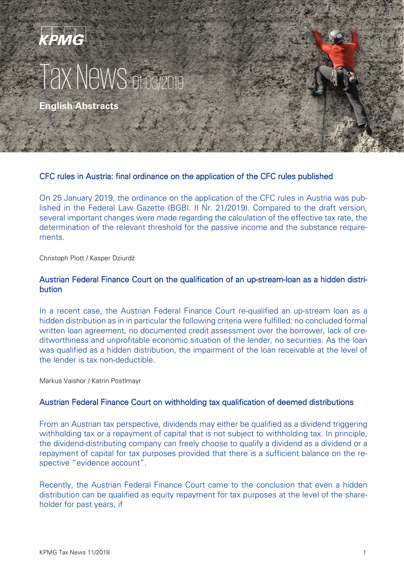# KPMG Tax News o

**English Abstracts**

## CFC rules in Austria: final ordinance on the application of the CFC rules published

On 25 January 2019, the ordinance on the application of the CFC rules in Austria was published in the Federal Law Gazette (BGBl. II Nr. 21/2019). Compared to the draft version, several important changes were made regarding the calculation of the effective tax rate, the determination of the relevant threshold for the passive income and the substance requirements.

Christoph Plott / Kasper Dziurdź

## Austrian Federal Finance Court on the qualification of an up-stream-loan as a hidden distribution

In a recent case, the Austrian Federal Finance Court re-qualified an up-stream loan as a hidden distribution as in in particular the following criteria were fulfilled: no concluded formal written loan agreement, no documented credit assessment over the borrower, lack of creditworthiness and unprofitable economic situation of the lender, no securities. As the loan was qualified as a hidden distribution, the impairment of the loan receivable at the level of the lender is tax non-deductible.

Markus Vaishor / Katrin Postlmayr

#### Austrian Federal Finance Court on withholding tax qualification of deemed distributions

From an Austrian tax perspective, dividends may either be qualified as a dividend triggering withholding tax or a repayment of capital that is not subject to withholding tax. In principle, the dividend-distributing company can freely choose to qualify a dividend as a dividend or a repayment of capital for tax purposes provided that there is a sufficient balance on the respective "evidence account".

Recently, the Austrian Federal Finance Court came to the conclusion that even a hidden distribution can be qualified as equity repayment for tax purposes at the level of the shareholder for past years, if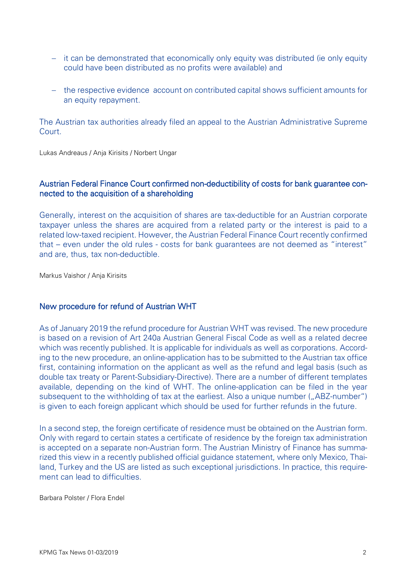- − it can be demonstrated that economically only equity was distributed (ie only equity could have been distributed as no profits were available) and
- − the respective evidence account on contributed capital shows sufficient amounts for an equity repayment.

The Austrian tax authorities already filed an appeal to the Austrian Administrative Supreme Court.

Lukas Andreaus / Anja Kirisits / Norbert Ungar

## Austrian Federal Finance Court confirmed non-deductibility of costs for bank guarantee connected to the acquisition of a shareholding

Generally, interest on the acquisition of shares are tax-deductible for an Austrian corporate taxpayer unless the shares are acquired from a related party or the interest is paid to a related low-taxed recipient. However, the Austrian Federal Finance Court recently confirmed that – even under the old rules - costs for bank guarantees are not deemed as "interest" and are, thus, tax non-deductible.

Markus Vaishor / Anja Kirisits

# New procedure for refund of Austrian WHT

As of January 2019 the refund procedure for Austrian WHT was revised. The new procedure is based on a revision of Art 240a Austrian General Fiscal Code as well as a related decree which was recently published. It is applicable for individuals as well as corporations. According to the new procedure, an online-application has to be submitted to the Austrian tax office first, containing information on the applicant as well as the refund and legal basis (such as double tax treaty or Parent-Subsidiary-Directive). There are a number of different templates available, depending on the kind of WHT. The online-application can be filed in the year subsequent to the withholding of tax at the earliest. Also a unique number ("ABZ-number") is given to each foreign applicant which should be used for further refunds in the future.

In a second step, the foreign certificate of residence must be obtained on the Austrian form. Only with regard to certain states a certificate of residence by the foreign tax administration is accepted on a separate non-Austrian form. The Austrian Ministry of Finance has summarized this view in a recently published official guidance statement, where only Mexico, Thailand, Turkey and the US are listed as such exceptional jurisdictions. In practice, this requirement can lead to difficulties.

Barbara Polster / Flora Endel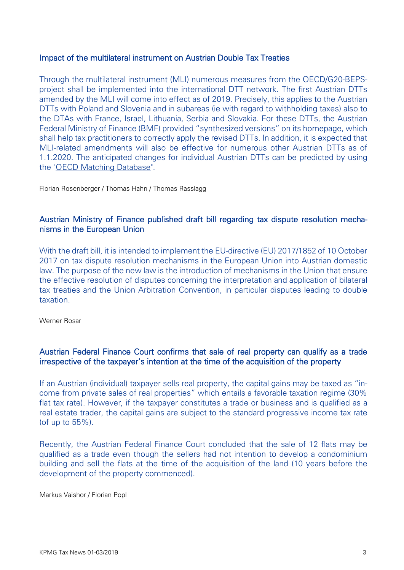## Impact of the multilateral instrument on Austrian Double Tax Treaties

Through the multilateral instrument (MLI) numerous measures from the OECD/G20-BEPSproject shall be implemented into the international DTT network. The first Austrian DTTs amended by the MLI will come into effect as of 2019. Precisely, this applies to the Austrian DTTs with Poland and Slovenia and in subareas (ie with regard to withholding taxes) also to the DTAs with France, Israel, Lithuania, Serbia and Slovakia. For these DTTs, the Austrian Federal Ministry of Finance (BMF) provided "synthesized versions" on its [homepage,](https://www.bmf.gv.at/steuern/int-steuerrecht/DBA-Liste.html) which shall help tax practitioners to correctly apply the revised DTTs. In addition, it is expected that MLI-related amendments will also be effective for numerous other Austrian DTTs as of 1.1.2020. The anticipated changes for individual Austrian DTTs can be predicted by using the ["OECD Matching Database"](http://www.oecd.org/tax/treaties/mli-matching-database.htm).

Florian Rosenberger / Thomas Hahn / Thomas Rasslagg

## Austrian Ministry of Finance published draft bill regarding tax dispute resolution mechanisms in the European Union

With the draft bill, it is intended to implement the EU-directive (EU) 2017/1852 of 10 October 2017 on tax dispute resolution mechanisms in the European Union into Austrian domestic law. The purpose of the new law is the introduction of mechanisms in the Union that ensure the effective resolution of disputes concerning the interpretation and application of bilateral tax treaties and the Union Arbitration Convention, in particular disputes leading to double taxation.

Werner Rosar

# Austrian Federal Finance Court confirms that sale of real property can qualify as a trade irrespective of the taxpayer's intention at the time of the acquisition of the property

If an Austrian (individual) taxpayer sells real property, the capital gains may be taxed as "income from private sales of real properties" which entails a favorable taxation regime (30% flat tax rate). However, if the taxpayer constitutes a trade or business and is qualified as a real estate trader, the capital gains are subject to the standard progressive income tax rate (of up to 55%).

Recently, the Austrian Federal Finance Court concluded that the sale of 12 flats may be qualified as a trade even though the sellers had not intention to develop a condominium building and sell the flats at the time of the acquisition of the land (10 years before the development of the property commenced).

Markus Vaishor / Florian Popl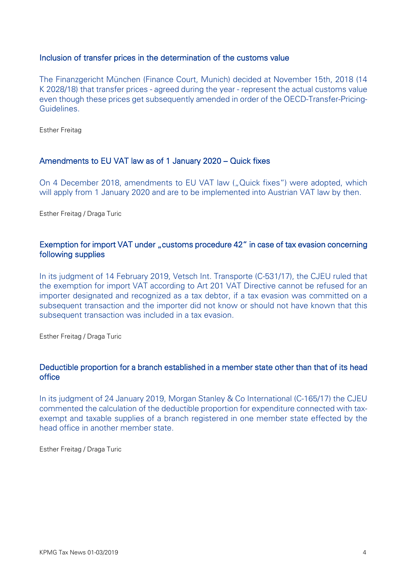## Inclusion of transfer prices in the determination of the customs value

The Finanzgericht München (Finance Court, Munich) decided at November 15th, 2018 (14 K 2028/18) that transfer prices - agreed during the year - represent the actual customs value even though these prices get subsequently amended in order of the OECD-Transfer-Pricing-Guidelines.

Esther Freitag

#### Amendments to EU VAT law as of 1 January 2020 – Quick fixes

On 4 December 2018, amendments to EU VAT law ("Quick fixes") were adopted, which will apply from 1 January 2020 and are to be implemented into Austrian VAT law by then.

Esther Freitag / Draga Turic

## Exemption for import VAT under "customs procedure 42" in case of tax evasion concerning following supplies

In its judgment of 14 February 2019, Vetsch Int. Transporte (C-531/17), the CJEU ruled that the exemption for import VAT according to Art 201 VAT Directive cannot be refused for an importer designated and recognized as a tax debtor, if a tax evasion was committed on a subsequent transaction and the importer did not know or should not have known that this subsequent transaction was included in a tax evasion.

Esther Freitag / Draga Turic

## Deductible proportion for a branch established in a member state other than that of its head office

In its judgment of 24 January 2019, Morgan Stanley & Co International (C-165/17) the CJEU commented the calculation of the deductible proportion for expenditure connected with taxexempt and taxable supplies of a branch registered in one member state effected by the head office in another member state.

Esther Freitag / Draga Turic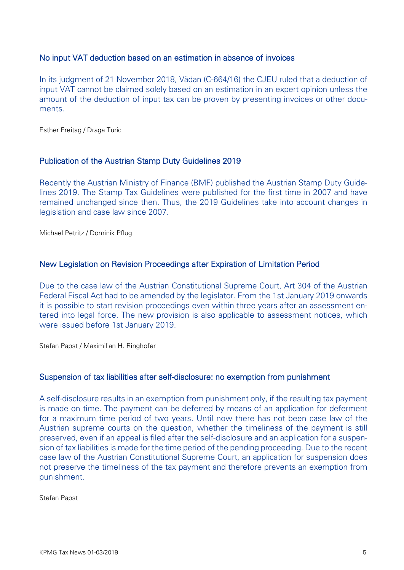## No input VAT deduction based on an estimation in absence of invoices

In its judgment of 21 November 2018, Vădan (C-664/16) the CJEU ruled that a deduction of input VAT cannot be claimed solely based on an estimation in an expert opinion unless the amount of the deduction of input tax can be proven by presenting invoices or other documents.

Esther Freitag / Draga Turic

#### Publication of the Austrian Stamp Duty Guidelines 2019

Recently the Austrian Ministry of Finance (BMF) published the Austrian Stamp Duty Guidelines 2019. The Stamp Tax Guidelines were published for the first time in 2007 and have remained unchanged since then. Thus, the 2019 Guidelines take into account changes in legislation and case law since 2007.

Michael Petritz / Dominik Pflug

#### New Legislation on Revision Proceedings after Expiration of Limitation Period

Due to the case law of the Austrian Constitutional Supreme Court, Art 304 of the Austrian Federal Fiscal Act had to be amended by the legislator. From the 1st January 2019 onwards it is possible to start revision proceedings even within three years after an assessment entered into legal force. The new provision is also applicable to assessment notices, which were issued before 1st January 2019.

Stefan Papst / Maximilian H. Ringhofer

#### Suspension of tax liabilities after self-disclosure: no exemption from punishment

A self-disclosure results in an exemption from punishment only, if the resulting tax payment is made on time. The payment can be deferred by means of an application for deferment for a maximum time period of two years. Until now there has not been case law of the Austrian supreme courts on the question, whether the timeliness of the payment is still preserved, even if an appeal is filed after the self-disclosure and an application for a suspension of tax liabilities is made for the time period of the pending proceeding. Due to the recent case law of the Austrian Constitutional Supreme Court, an application for suspension does not preserve the timeliness of the tax payment and therefore prevents an exemption from punishment.

Stefan Papst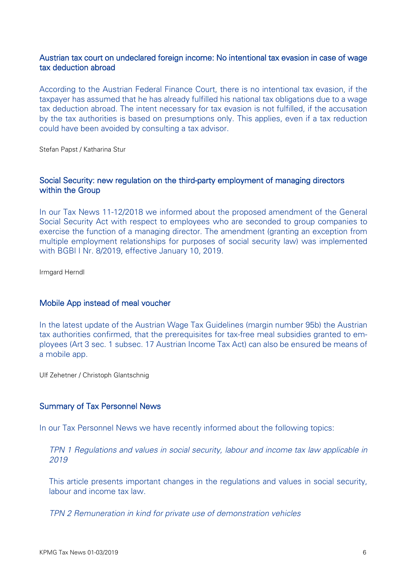## Austrian tax court on undeclared foreign income: No intentional tax evasion in case of wage tax deduction abroad

According to the Austrian Federal Finance Court, there is no intentional tax evasion, if the taxpayer has assumed that he has already fulfilled his national tax obligations due to a wage tax deduction abroad. The intent necessary for tax evasion is not fulfilled, if the accusation by the tax authorities is based on presumptions only. This applies, even if a tax reduction could have been avoided by consulting a tax advisor.

Stefan Papst / Katharina Stur

## Social Security: new regulation on the third-party employment of managing directors within the Group

In our Tax News 11-12/2018 we informed about the proposed amendment of the General Social Security Act with respect to employees who are seconded to group companies to exercise the function of a managing director. The amendment (granting an exception from multiple employment relationships for purposes of social security law) was implemented with BGBl I Nr. 8/2019, effective January 10, 2019.

Irmgard Herndl

#### Mobile App instead of meal voucher

In the latest update of the Austrian Wage Tax Guidelines (margin number 95b) the Austrian tax authorities confirmed, that the prerequisites for tax-free meal subsidies granted to employees (Art 3 sec. 1 subsec. 17 Austrian Income Tax Act) can also be ensured be means of a mobile app.

Ulf Zehetner / Christoph Glantschnig

#### Summary of Tax Personnel News

In our Tax Personnel News we have recently informed about the following topics:

*TPN 1 Regulations and values in social security, labour and income tax law applicable in 2019*

This article presents important changes in the regulations and values in social security, labour and income tax law.

*TPN 2 Remuneration in kind for private use of demonstration vehicles*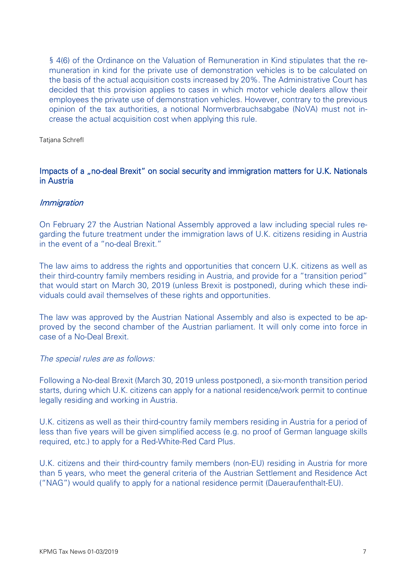§ 4(6) of the Ordinance on the Valuation of Remuneration in Kind stipulates that the remuneration in kind for the private use of demonstration vehicles is to be calculated on the basis of the actual acquisition costs increased by 20%. The Administrative Court has decided that this provision applies to cases in which motor vehicle dealers allow their employees the private use of demonstration vehicles. However, contrary to the previous opinion of the tax authorities, a notional Normverbrauchsabgabe (NoVA) must not increase the actual acquisition cost when applying this rule.

Tatjana Schrefl

## Impacts of a "no-deal Brexit" on social security and immigration matters for U.K. Nationals in Austria

#### Immigration

On February 27 the Austrian National Assembly approved a law including special rules regarding the future treatment under the immigration laws of U.K. citizens residing in Austria in the event of a "no-deal Brexit."

The law aims to address the rights and opportunities that concern U.K. citizens as well as their third-country family members residing in Austria, and provide for a "transition period" that would start on March 30, 2019 (unless Brexit is postponed), during which these individuals could avail themselves of these rights and opportunities.

The law was approved by the Austrian National Assembly and also is expected to be approved by the second chamber of the Austrian parliament. It will only come into force in case of a No-Deal Brexit.

#### *The special rules are as follows:*

Following a No-deal Brexit (March 30, 2019 unless postponed), a six-month transition period starts, during which U.K. citizens can apply for a national residence/work permit to continue legally residing and working in Austria.

U.K. citizens as well as their third-country family members residing in Austria for a period of less than five years will be given simplified access (e.g. no proof of German language skills required, etc.) to apply for a Red-White-Red Card Plus.

U.K. citizens and their third-country family members (non-EU) residing in Austria for more than 5 years, who meet the general criteria of the Austrian Settlement and Residence Act ("NAG") would qualify to apply for a national residence permit (Daueraufenthalt-EU).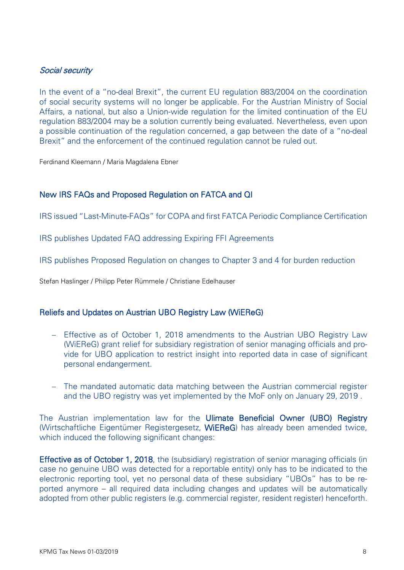# Social security

In the event of a "no-deal Brexit", the current EU regulation 883/2004 on the coordination of social security systems will no longer be applicable. For the Austrian Ministry of Social Affairs, a national, but also a Union-wide regulation for the limited continuation of the EU regulation 883/2004 may be a solution currently being evaluated. Nevertheless, even upon a possible continuation of the regulation concerned, a gap between the date of a "no-deal Brexit" and the enforcement of the continued regulation cannot be ruled out.

Ferdinand Kleemann / Maria Magdalena Ebner

## New IRS FAQs and Proposed Regulation on FATCA and QI

IRS issued "Last-Minute-FAQs" for COPA and first FATCA Periodic Compliance Certification

IRS publishes Updated FAQ addressing Expiring FFI Agreements

IRS publishes Proposed Regulation on changes to Chapter 3 and 4 for burden reduction

Stefan Haslinger / Philipp Peter Rümmele / Christiane Edelhauser

#### Reliefs and Updates on Austrian UBO Registry Law (WiEReG)

- − Effective as of October 1, 2018 amendments to the Austrian UBO Registry Law (WiEReG) grant relief for subsidiary registration of senior managing officials and provide for UBO application to restrict insight into reported data in case of significant personal endangerment.
- − The mandated automatic data matching between the Austrian commercial register and the UBO registry was yet implemented by the MoF only on January 29, 2019 .

The Austrian implementation law for the Ulimate Beneficial Owner (UBO) Registry (Wirtschaftliche Eigentümer Registergesetz, WiEReG) has already been amended twice, which induced the following significant changes:

Effective as of October 1, 2018, the (subsidiary) registration of senior managing officials (in case no genuine UBO was detected for a reportable entity) only has to be indicated to the electronic reporting tool, yet no personal data of these subsidiary "UBOs" has to be reported anymore – all required data including changes and updates will be automatically adopted from other public registers (e.g. commercial register, resident register) henceforth.